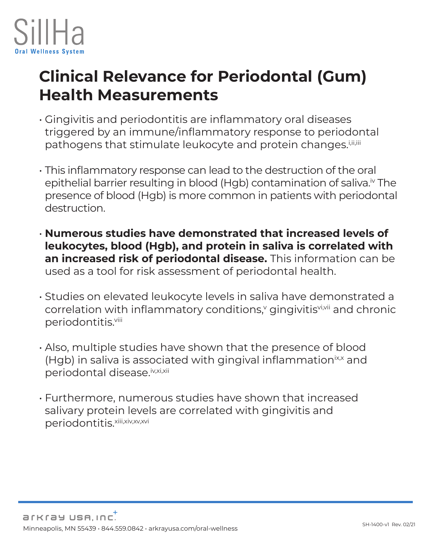

## **Clinical Relevance for Periodontal (Gum) Health Measurements**

- Gingivitis and periodontitis are inflammatory oral diseases triggered by an immune/inflammatory response to periodontal pathogens that stimulate leukocyte and protein changes.i,iii,iii
- This inflammatory response can lead to the destruction of the oral epithelial barrier resulting in blood (Hgb) contamination of saliva.<sup>iv</sup> The presence of blood (Hgb) is more common in patients with periodontal destruction.
- **Numerous studies have demonstrated that increased levels of leukocytes, blood (Hgb), and protein in saliva is correlated with an increased risk of periodontal disease.** This information can be used as a tool for risk assessment of periodontal health.
- Studies on elevated leukocyte levels in saliva have demonstrated a correlation with inflammatory conditions,<sup>v</sup> gingivitis<sup>vi,vii</sup> and chronic periodontitis.viii
- Also, multiple studies have shown that the presence of blood (Hgb) in saliva is associated with gingival inflammation $\frac{ix}{x}$  and periodontal disease.iv,xi,xii
- Furthermore, numerous studies have shown that increased salivary protein levels are correlated with gingivitis and periodontitis.xiii,xiv,xv,xvi